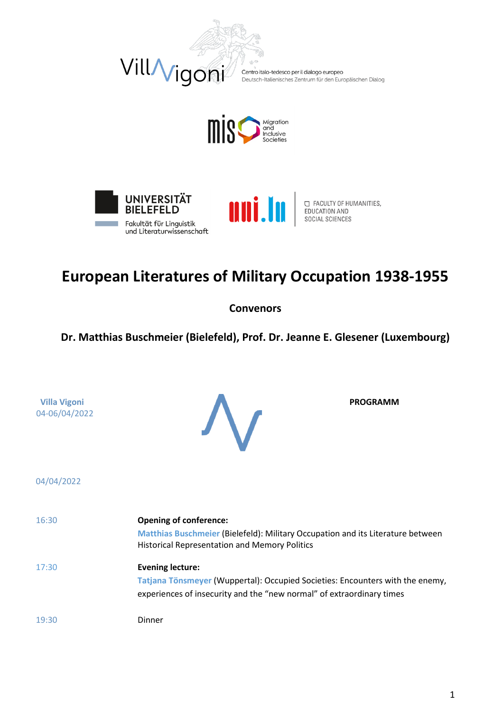

Centro italo-tedesco per il dialogo europeo<br>Deutsch-Italienisches Zentrum für den Europäischen Dialog







□ FACULTY OF HUMANITIES,<br>EDUCATION AND SOCIAL SCIENCES

# **European Literatures of Military Occupation 1938-1955**

**Convenors** 

**Dr. Matthias Buschmeier (Bielefeld), Prof. Dr. Jeanne E. Glesener (Luxembourg)**

**Villa Vigoni** 04-06/04/2022 **PROGRAMM**

04/04/2022

| 16:30 | <b>Opening of conference:</b>                                                   |
|-------|---------------------------------------------------------------------------------|
|       | Matthias Buschmeier (Bielefeld): Military Occupation and its Literature between |
|       | <b>Historical Representation and Memory Politics</b>                            |
| 17:30 | <b>Evening lecture:</b>                                                         |
|       | Tatjana Tönsmeyer (Wuppertal): Occupied Societies: Encounters with the enemy,   |
|       | experiences of insecurity and the "new normal" of extraordinary times           |
|       |                                                                                 |
| 19:30 | Dinner                                                                          |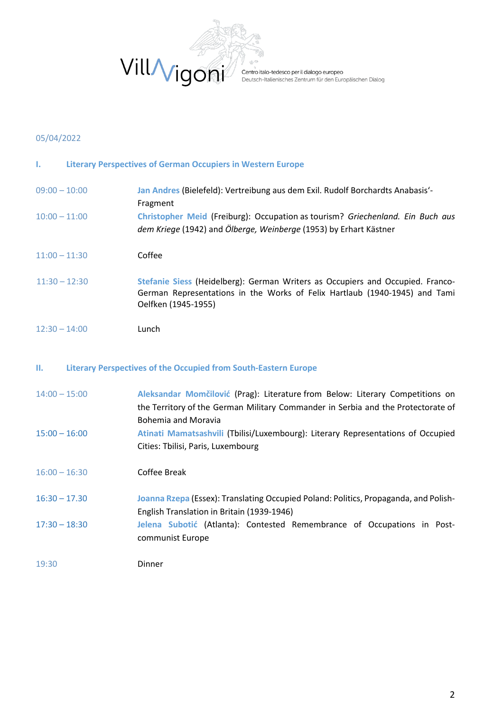

entio<br>Centro italo-tedesco per il dialogo europeo<br>Deutsch-Italienisches Zentrum für den Europäischen Dialog

#### 05/04/2022

| L.              | <b>Literary Perspectives of German Occupiers in Western Europe</b>                                                                                                                  |
|-----------------|-------------------------------------------------------------------------------------------------------------------------------------------------------------------------------------|
| $09:00 - 10:00$ | Jan Andres (Bielefeld): Vertreibung aus dem Exil. Rudolf Borchardts Anabasis'-<br>Fragment                                                                                          |
| $10:00 - 11:00$ | Christopher Meid (Freiburg): Occupation as tourism? Griechenland. Ein Buch aus<br>dem Kriege (1942) and Ölberge, Weinberge (1953) by Erhart Kästner                                 |
| $11:00 - 11:30$ | Coffee                                                                                                                                                                              |
| $11:30 - 12:30$ | Stefanie Siess (Heidelberg): German Writers as Occupiers and Occupied. Franco-<br>German Representations in the Works of Felix Hartlaub (1940-1945) and Tami<br>Oelfken (1945-1955) |
| $12:30 - 14:00$ | Lunch                                                                                                                                                                               |

#### **II. Literary Perspectives of the Occupied from South-Eastern Europe**

| Aleksandar Momčilović (Prag): Literature from Below: Literary Competitions on    |
|----------------------------------------------------------------------------------|
| the Territory of the German Military Commander in Serbia and the Protectorate of |
| <b>Bohemia and Moravia</b>                                                       |
| Atinati Mamatsashvili (Tbilisi/Luxembourg): Literary Representations of Occupied |
| Cities: Tbilisi, Paris, Luxembourg                                               |
|                                                                                  |
| Coffee Break                                                                     |
|                                                                                  |

- 16:30 17.30 **Joanna Rzepa** (Essex): Translating Occupied Poland: Politics, Propaganda, and Polish-English Translation in Britain (1939-1946)
- 17:30 18:30 **Jelena Subotić** (Atlanta): Contested Remembrance of Occupations in Postcommunist Europe
- 19:30 Dinner